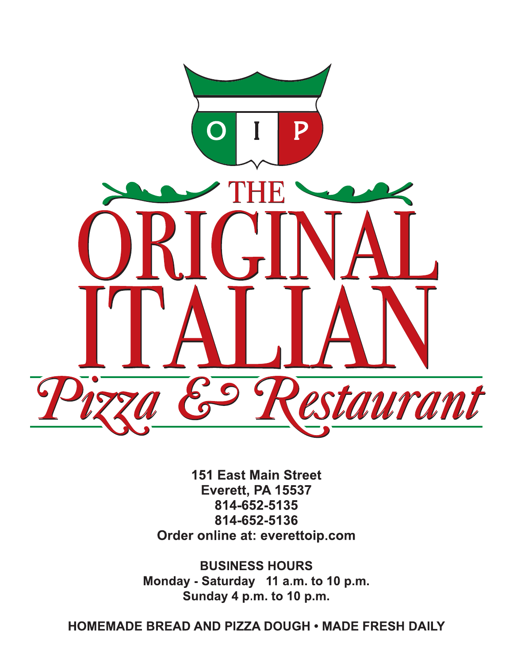

**151 East Main Street** Everett, PA 15537 814-652-5135 814-652-5136 Order online at: everettoip.com

**BUSINESS HOURS** Monday - Saturday 11 a.m. to 10 p.m. Sunday 4 p.m. to 10 p.m.

**HOMEMADE BREAD AND PIZZA DOUGH • MADE FRESH DAILY**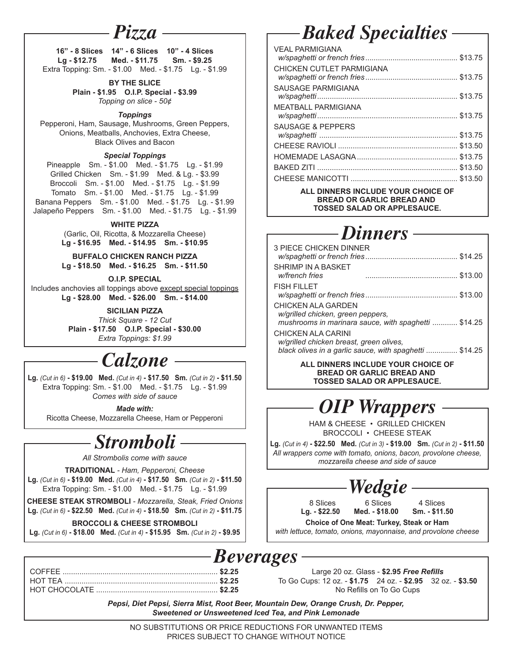#### *Pizza*

**16" - 8 Slices 14" - 6 Slices 10" - 4 Slices Lg - \$12.75 Med. - \$11.75 Sm. - \$9.25** Extra Topping: Sm. - \$1.00 Med. - \$1.75 Lg. - \$1.99

**BY THE SLICE**

**Plain - \$1.95 O.I.P. Special - \$3.99** *Topping on slice - 50¢*

*Toppings*

Pepperoni, Ham, Sausage, Mushrooms, Green Peppers, Onions, Meatballs, Anchovies, Extra Cheese, Black Olives and Bacon

#### *Special Toppings*

Pineapple Sm. - \$1.00 Med. - \$1.75 Lg. - \$1.99 Grilled Chicken Sm. - \$1.99 Med. & Lg. - \$3.99 Broccoli Sm. - \$1.00 Med. - \$1.75 Lg. - \$1.99 Tomato Sm. - \$1.00 Med. - \$1.75 Lg. - \$1.99 Banana Peppers Sm. - \$1.00 Med. - \$1.75 Lg. - \$1.99 Jalapeño Peppers Sm. - \$1.00 Med. - \$1.75 Lg. - \$1.99

**WHITE PIZZA**

(Garlic, Oil, Ricotta, & Mozzarella Cheese) **Lg - \$16.95 Med. - \$14.95 Sm. - \$10.95**

**BUFFALO CHICKEN RANCH PIZZA Lg - \$18.50 Med. - \$16.25 Sm. - \$11.50**

**O.I.P. SPECIAL**

Includes anchovies all toppings above except special toppings **Lg - \$28.00 Med. - \$26.00 Sm. - \$14.00**

> **SICILIAN PIZZA** *Thick Square - 12 Cut* **Plain - \$17.50 O.I.P. Special - \$30.00** *Extra Toppings: \$1.99*

### *Calzone*

**Lg.** *(Cut in 6)* **- \$19.00 Med.** *(Cut in 4)* **- \$17.50 Sm.** *(Cut in 2)* **- \$11.50** Extra Topping: Sm. - \$1.00 Med. - \$1.75 Lg. - \$1.99 *Comes with side of sauce*

*Made with:*

Ricotta Cheese, Mozzarella Cheese, Ham or Pepperoni

### *Stromboli*

*All Strombolis come with sauce*

**TRADITIONAL** *- Ham, Pepperoni, Cheese*

**Lg.** *(Cut in 6)* **- \$19.00 Med.** *(Cut in 4)* **- \$17.50 Sm.** *(Cut in 2)* **- \$11.50** Extra Topping: Sm. - \$1.00 Med. - \$1.75 Lg. - \$1.99

**CHEESE STEAK STROMBOLI** *- Mozzarella, Steak, Fried Onions* **Lg.** *(Cut in 6)* **- \$22.50 Med.** *(Cut in 4)* **- \$18.50 Sm.** *(Cut in 2)* **- \$11.75**

#### **BROCCOLI & CHEESE STROMBOLI**

**Lg.** *(Cut in 6)* **- \$18.00 Med.** *(Cut in 4)* **- \$15.95 Sm.** *(Cut in 2)* **- \$9.95**

| $\sim$ |
|--------|
|        |
|        |
|        |
|        |

# *Baked Specialties*

| <b>VEAL PARMIGIANA</b>       |  |
|------------------------------|--|
|                              |  |
| CHICKEN CUTI ET PARMIGIANA   |  |
|                              |  |
| SAUSAGE PARMIGIANA           |  |
|                              |  |
| <b>MEATBALL PARMIGIANA</b>   |  |
|                              |  |
| <b>SAUSAGE &amp; PEPPERS</b> |  |
|                              |  |
|                              |  |
|                              |  |
|                              |  |
|                              |  |
|                              |  |

#### **ALL DINNERS INCLUDE YOUR CHOICE OF BREAD OR GARLIC BREAD AND TOSSED SALAD OR APPLESAUCE.**

# *Dinners*

| <b>3 PIECE CHICKEN DINNER</b>                                 |                                                                 |
|---------------------------------------------------------------|-----------------------------------------------------------------|
| SHRIMP IN A BASKET<br>w/french fries                          |                                                                 |
| <b>FISH FILLET</b>                                            |                                                                 |
| CHICKEN ALA GARDEN<br>w/grilled chicken, green peppers,       | mushrooms in marinara sauce, with spaghetti  \$14.25            |
| CHICKEN ALA CARINI<br>w/grilled chicken breast, green olives, | black olives in a garlic sauce, with spaghetti  \$14.25         |
|                                                               | ALL DINNERS INCLUDE YOUR CHOICE OF<br>BBEAR OB CABLIC BBEAR AND |

**BREAD OR GARLIC BREAD AND TOSSED SALAD OR APPLESAUCE.**

# *OIP Wrappers*

HAM & CHEESE • GRILLED CHICKEN BROCCOLI • CHEESE STEAK

**Lg.** *(Cut in 4)* **- \$22.50 Med.** *(Cut in 3)* **- \$19.00 Sm.** *(Cut in 2)* **- \$11.50** *All wrappers come with tomato, onions, bacon, provolone cheese, mozzarella cheese and side of sauce*



8 Slices 6 Slices 4 Slices<br>
Lg. - \$22.50 Med. - \$18.00 Sm. - \$11.50

**Med. - \$18.00 Choice of One Meat: Turkey, Steak or Ham**

*with lettuce, tomato, onions, mayonnaise, and provolone cheese*

#### *Beverages*

Large 20 oz. Glass - **\$2.95** *Free Refills* To Go Cups: 12 oz. - **\$1.75** 24 oz. - **\$2.95** 32 oz. - **\$3.50** No Refills on To Go Cups

*Pepsi, Diet Pepsi, Sierra Mist, Root Beer, Mountain Dew, Orange Crush, Dr. Pepper, Sweetened or Unsweetened Iced Tea, and Pink Lemonade*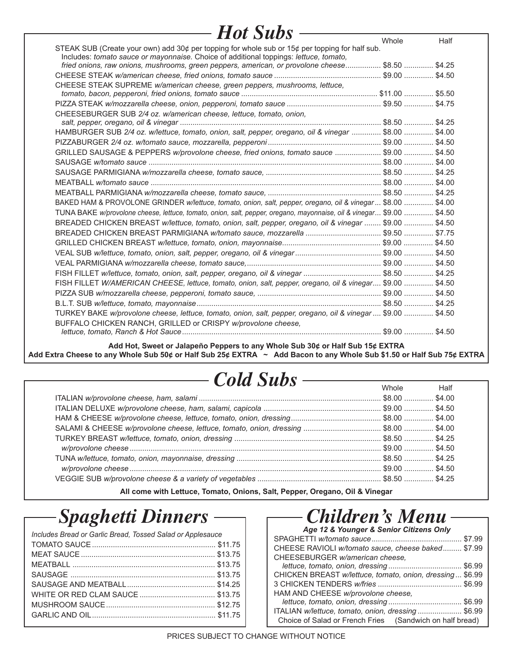| - Hot Subs -                                                                                                                                                                            |       |      |
|-----------------------------------------------------------------------------------------------------------------------------------------------------------------------------------------|-------|------|
|                                                                                                                                                                                         | Whole | Half |
| STEAK SUB (Create your own) add 30¢ per topping for whole sub or 15¢ per topping for half sub.<br>Includes: tomato sauce or mayonnaise. Choice of additional toppings: lettuce, tomato, |       |      |
| fried onions, raw onions, mushrooms, green peppers, american, or provolone cheese \$8.50  \$4.25                                                                                        |       |      |
|                                                                                                                                                                                         |       |      |
| CHEESE STEAK SUPREME w/american cheese, green peppers, mushrooms, lettuce,                                                                                                              |       |      |
|                                                                                                                                                                                         |       |      |
| CHEESEBURGER SUB 2/4 oz. w/american cheese, lettuce, tomato, onion,                                                                                                                     |       |      |
|                                                                                                                                                                                         |       |      |
| HAMBURGER SUB 2/4 oz. w/lettuce, tomato, onion, salt, pepper, oregano, oil & vinegar  \$8.00  \$4.00                                                                                    |       |      |
|                                                                                                                                                                                         |       |      |
|                                                                                                                                                                                         |       |      |
|                                                                                                                                                                                         |       |      |
|                                                                                                                                                                                         |       |      |
|                                                                                                                                                                                         |       |      |
|                                                                                                                                                                                         |       |      |
| BAKED HAM & PROVOLONE GRINDER w/lettuce, tomato, onion, salt, pepper, oregano, oil & vinegar  \$8.00  \$4.00                                                                            |       |      |
| TUNA BAKE w/provolone cheese, lettuce, tomato, onion, salt, pepper, oregano, mayonnaise, oil & vinegar \$9.00  \$4.50                                                                   |       |      |
| BREADED CHICKEN BREAST w/lettuce, tomato, onion, salt, pepper, oregano, oil & vinegar  \$9.00  \$4.50                                                                                   |       |      |
|                                                                                                                                                                                         |       |      |
|                                                                                                                                                                                         |       |      |
|                                                                                                                                                                                         |       |      |
|                                                                                                                                                                                         |       |      |
| FISH FILLET w/lettuce, tomato, onion, salt, pepper, oregano, oil & vinegar  \$8.50  \$4.25                                                                                              |       |      |
| FISH FILLET W/AMERICAN CHEESE, lettuce, tomato, onion, salt, pepper, oregano, oil & vinegar \$9.00  \$4.50                                                                              |       |      |
|                                                                                                                                                                                         |       |      |
|                                                                                                                                                                                         |       |      |
| TURKEY BAKE w/provolone cheese, lettuce, tomato, onion, salt, pepper, oregano, oil & vinegar  \$9.00  \$4.50                                                                            |       |      |
| BUFFALO CHICKEN RANCH, GRILLED or CRISPY w/provolone cheese,                                                                                                                            |       |      |
|                                                                                                                                                                                         |       |      |

**Add Hot, Sweet or Jalapeño Peppers to any Whole Sub 30¢ or Half Sub 15¢ EXTRA** Add Extra Cheese to any Whole Sub 50¢ or Half Sub 25¢ EXTRA ~ Add Bacon to any Whole Sub \$1.50 or Half Sub 75¢ EXTRA

# *Cold Subs* Whole Half

**All come with Lettuce, Tomato, Onions, Salt, Pepper, Oregano, Oil & Vinegar**

### *Spaghetti Dinners*

| Includes Bread or Garlic Bread, Tossed Salad or Applesauce |  |
|------------------------------------------------------------|--|
|                                                            |  |
|                                                            |  |
|                                                            |  |
|                                                            |  |
|                                                            |  |
|                                                            |  |
|                                                            |  |
|                                                            |  |
|                                                            |  |

### *Children's Menu*

| Age 12 & Younger & Senior Citizens Only                  |  |
|----------------------------------------------------------|--|
|                                                          |  |
| CHEESE RAVIOLI w/tomato sauce, cheese baked \$7.99       |  |
| CHEESEBURGER w/american cheese,                          |  |
|                                                          |  |
| CHICKEN BREAST w/lettuce, tomato, onion, dressing \$6.99 |  |
|                                                          |  |
| HAM AND CHEESE w/provolone cheese,                       |  |
|                                                          |  |
| ITALIAN w/lettuce, tomato, onion, dressing  \$6.99       |  |
| Choice of Salad or French Fries (Sandwich on half bread) |  |